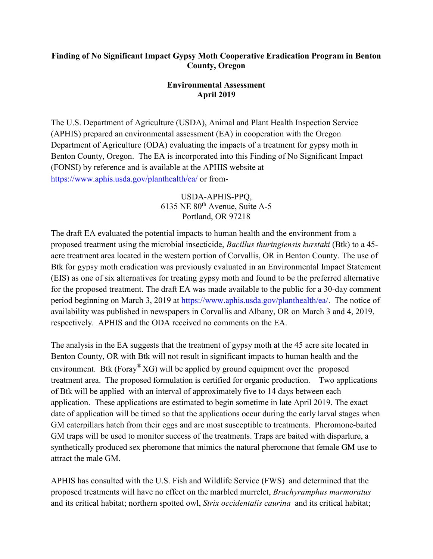## **Finding of No Significant Impact Gypsy Moth Cooperative Eradication Program in Benton County, Oregon**

## **Environmental Assessment April 2019**

The U.S. Department of Agriculture (USDA), Animal and Plant Health Inspection Service (APHIS) prepared an environmental assessment (EA) in cooperation with the Oregon Department of Agriculture (ODA) evaluating the impacts of a treatment for gypsy moth in Benton County, Oregon. The EA is incorporated into this Finding of No Significant Impact (FONSI) by reference and is available at the APHIS website at https://www.aphis.usda.gov/planthealth/ea/ or from-

## USDA-APHIS-PPQ, 6135 NE 80th Avenue, Suite A-5 Portland, OR 97218

The draft EA evaluated the potential impacts to human health and the environment from a proposed treatment using the microbial insecticide, *Bacillus thuringiensis kurstaki* (Btk) to a 45 acre treatment area located in the western portion of Corvallis, OR in Benton County. The use of Btk for gypsy moth eradication was previously evaluated in an Environmental Impact Statement (EIS) as one of six alternatives for treating gypsy moth and found to be the preferred alternative for the proposed treatment. The draft EA was made available to the public for a 30-day comment period beginning on March 3, 2019 at https://www.aphis.usda.gov/planthealth/ea/. The notice of availability was published in newspapers in Corvallis and Albany, OR on March 3 and 4, 2019, respectively. APHIS and the ODA received no comments on the EA.

The analysis in the EA suggests that the treatment of gypsy moth at the 45 acre site located in Benton County, OR with Btk will not result in significant impacts to human health and the environment. Btk (Foray<sup>®</sup> XG) will be applied by ground equipment over the proposed treatment area. The proposed formulation is certified for organic production. Two applications of Btk will be applied with an interval of approximately five to 14 days between each application. These applications are estimated to begin sometime in late April 2019. The exact date of application will be timed so that the applications occur during the early larval stages when GM caterpillars hatch from their eggs and are most susceptible to treatments. Pheromone-baited GM traps will be used to monitor success of the treatments. Traps are baited with disparlure, a synthetically produced sex pheromone that mimics the natural pheromone that female GM use to attract the male GM.

APHIS has consulted with the U.S. Fish and Wildlife Service (FWS) and determined that the proposed treatments will have no effect on the marbled murrelet, *Brachyramphus marmoratus* and its critical habitat; northern spotted owl, *Strix occidentalis caurina* and its critical habitat;